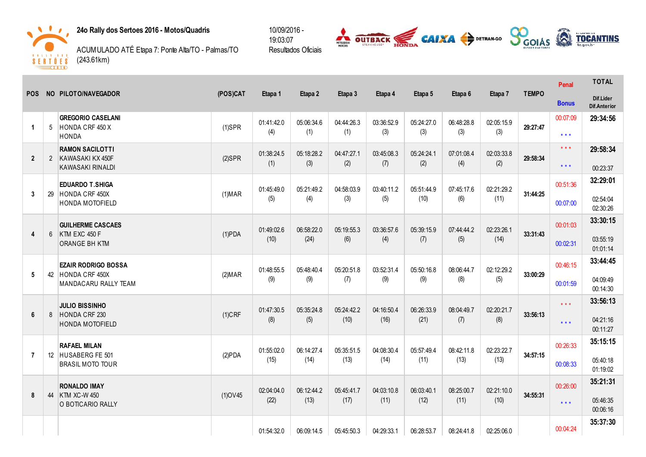

24o Rally dos Sertoes 2016 - Motos/Quadris

ACUMULADO ATÉ Etapa 7: Ponte Alta/TO - Palmas/TO  $(243.61km)$ 



|                |                | NO PILOTO/NAVEGADOR                                                     |                |                   |                   |                   |                   |                    |                    |                   |              | Penal             | <b>TOTAL</b>                     |
|----------------|----------------|-------------------------------------------------------------------------|----------------|-------------------|-------------------|-------------------|-------------------|--------------------|--------------------|-------------------|--------------|-------------------|----------------------------------|
| <b>POS</b>     |                |                                                                         | (POS)CAT       | Etapa 1           | Etapa 2           | Etapa 3           | Etapa 4           | Etapa 5            | Etapa 6            | Etapa 7           | <b>TEMPO</b> | <b>Bonus</b>      | Dif.Lider<br><b>Dif.Anterior</b> |
| $\mathbf{1}$   | 5              | <b>GREGORIO CASELANI</b><br>HONDA CRF 450 X<br><b>HONDA</b>             | $(1)$ SPR      | 01:41:42.0<br>(4) | 05:06:34.6<br>(1) | 04:44:26.3<br>(1) | 03:36:52.9<br>(3) | 05:24:27.0<br>(3)  | 06:48:28.8<br>(3)  | 02:05:15.9<br>(3) | 29:27:47     | 00:07:09<br>$***$ | 29:34:56                         |
| $\overline{2}$ | $\overline{2}$ | <b>RAMON SACILOTTI</b><br>KAWASAKI KX 450F                              | $(2)$ SPR      | 01:38:24.5<br>(1) | 05:18:28.2<br>(3) | 04:47:27.1<br>(2) | 03:45:08.3        | 05:24:24.1<br>(2)  | 07:01:08.4<br>(4)  | 02:03:33.8<br>(2) | 29:58:34     | $***$             | 29:58:34                         |
|                |                | <b>KAWASAKI RINALDI</b>                                                 |                |                   |                   |                   | (7)               |                    |                    |                   |              | $***$             | 00:23:37                         |
| 3              | 29             | <b>EDUARDO T.SHIGA</b><br>HONDA CRF 450X                                | (1) <b>MAR</b> | 01:45:49.0        | 05:21:49.2        | 04:58:03.9        | 03:40:11.2        | 05:51:44.9<br>(10) | 07:45:17.6<br>(6)  | 02:21:29.2        | 31:44:25     | 00:51:36          | 32:29:01                         |
|                |                | HONDA MOTOFIELD                                                         |                | (5)               | (4)               | (3)               | (5)               |                    |                    | (11)              |              | 00:07:00          | 02:54:04<br>02:30:26             |
| 4              | 6              | <b>GUILHERME CASCAES</b><br>KTM EXC 450 F                               | $(1)$ PDA      | 01:49:02.6        | 06:58:22.0        | 05:19:55.3        | 03:36:57.6        | 05:39:15.9         | 07:44:44.2         | 02:23:26.1        | 33:31:43     | 00:01:03          | 33:30:15                         |
|                |                | ORANGE BH KTM                                                           |                | (10)              | (24)              | (6)               | (4)               | (7)                | (5)                | (14)              |              | 00:02:31          | 03:55:19<br>01:01:14             |
| 5              |                | <b>EZAIR RODRIGO BOSSA</b><br>42 HONDA CRF 450X<br>MANDACARU RALLY TEAM | (2) <b>MAR</b> | 01:48:55.5        | 05:48:40.4        | 05:20:51.8        | 03:52:31.4        | 05:50:16.8         | 08:06:44.7         | 02:12:29.2        | 33:00:29     | 00:46:15          | 33:44:45                         |
|                |                |                                                                         |                | (9)               | (9)               | (7)               | (9)               | (9)                | (8)                | (5)               |              | 00:01:59          | 04:09:49<br>00:14:30             |
|                |                | <b>JULIO BISSINHO</b>                                                   |                | 01:47:30.5        | 05:35:24.8        | 05:24:42.2        | 04:16:50.4        | 06:26:33.9         | 08:04:49.7<br>(7)  | 02:20:21.7        |              | $***$             | 33:56:13                         |
| 6              | 8              | HONDA CRF 230<br><b>HONDA MOTOFIELD</b>                                 | $(1)$ CRF      | (8)               | (5)               | (10)              | (16)              | (21)               |                    | (8)               | 33:56:13     | $* * *$           | 04:21:16<br>00:11:27             |
|                |                | <b>RAFAEL MILAN</b>                                                     |                | 01:55:02.0        | 06:14:27.4        | 05:35:51.5        | 04:08:30.4        | 05:57:49.4         | 08:42:11.8         | 02:23:22.7        |              | 00:26:33          | 35:15:15                         |
| $\overline{7}$ |                | 12 HUSABERG FE 501<br><b>BRASIL MOTO TOUR</b>                           | (2)PDA         | (15)              | (14)              | (13)              | (14)              | (11)               | (13)               | (13)              | 34:57:15     | 00:08:33          | 05:40:18<br>01:19:02             |
|                |                | <b>RONALDO IMAY</b>                                                     |                | 02:04:04.0        | 06:12:44.2        | 05:45:41.7        | 04:03:10.8        | 06:03:40.1         | 08:25:00.7<br>(11) | 02:21:10.0        |              | 00:26:00          | 35:21:31                         |
| 8              |                | 44 KTM XC-W 450<br>O BOTICARIO RALLY                                    | $(1)$ OV45     | (22)              | (13)              | (17)              | (11)              | (12)               |                    | (10)              | 34:55:31     | $***$             | 05:46:35<br>00:06:16             |
|                |                |                                                                         |                | 01:54:32.0        | 06:09:14.5        | 05:45:50.3        | 04:29:33.1        | 06:28:53.7         | 08:24:41.8         | 02:25:06.0        |              | 00:04:24          | 35:37:30                         |

10/09/2016 -19:03:07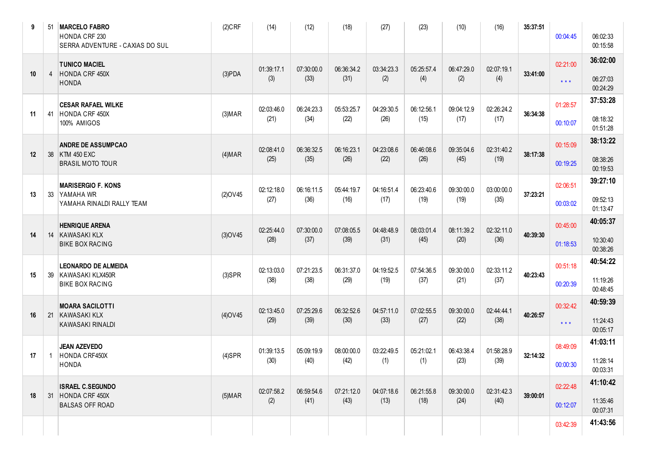| 9  | 51             | <b>MARCELO FABRO</b><br>HONDA CRF 230<br>SERRA ADVENTURE - CAXIAS DO SUL | $(2)$ CRF      | (14)              | (12)               | (18)               | (27)              | (23)              | (10)              | (16)              | 35:37:51 | 00:04:45 | 06:02:33<br>00:15:58 |
|----|----------------|--------------------------------------------------------------------------|----------------|-------------------|--------------------|--------------------|-------------------|-------------------|-------------------|-------------------|----------|----------|----------------------|
| 10 | $\overline{4}$ | <b>TUNICO MACIEL</b><br>HONDA CRF 450X                                   | (3)PDA         | 01:39:17.1<br>(3) | 07:30:00.0<br>(33) | 06:36:34.2<br>(31) | 03:34:23.3<br>(2) | 05:25:57.4<br>(4) | 06:47:29.0<br>(2) | 02:07:19.1<br>(4) | 33:41:00 | 02:21:00 | 36:02:00<br>06:27:03 |
|    |                | <b>HONDA</b>                                                             |                |                   |                    |                    |                   |                   |                   |                   |          | $***$    | 00:24:29             |
| 11 | 41             | <b>CESAR RAFAEL WILKE</b><br>HONDA CRF 450X                              | (3) <b>MAP</b> | 02:03:46.0        | 06:24:23.3         | 05:53:25.7         | 04:29:30.5        | 06:12:56.1        | 09:04:12.9        | 02:26:24.2        | 36:34:38 | 01:28:57 | 37:53:28             |
|    |                | 100% AMIGOS                                                              |                | (21)              | (34)               | (22)               | (26)              | (15)              | (17)              | (17)              |          | 00:10:07 | 08:18:32<br>01:51:28 |
| 12 |                | <b>ANDRE DE ASSUMPCAO</b>                                                |                | 02:08:41.0        | 06:36:32.5         | 06:16:23.1         | 04:23:08.6        | 06:46:08.6        | 09:35:04.6        | 02:31:40.2        | 38:17:38 | 00:15:09 | 38:13:22             |
|    |                | 38 KTM 450 EXC<br><b>BRASIL MOTO TOUR</b>                                | (4) <b>MAR</b> | (25)              | (35)               | (26)               | (22)              | (26)              | (45)              | (19)              |          | 00:19:25 | 08:38:26<br>00:19:53 |
| 13 | 33             | <b>MARISERGIO F. KONS</b><br>YAMAHA WR                                   | $(2)$ OV45     | 02:12:18.0        | 06:16:11.5         | 05:44:19.7         | 04:16:51.4        | 06:23:40.6        | 09:30:00.0        | 03:00:00.0        | 37:23:21 | 02:06:51 | 39:27:10             |
|    |                | YAMAHA RINALDI RALLY TEAM                                                |                | (27)              | (36)               | (16)               | (17)              | (19)              | (19)              | (35)              |          | 00:03:02 | 09:52:13<br>01:13:47 |
|    |                | <b>HENRIQUE ARENA</b>                                                    |                | 02:25:44.0        | 07:30:00.0         | 07:08:05.5         | 04:48:48.9        | 08:03:01.4        | 08:11:39.2        | 02:32:11.0        | 40:39:30 | 00:45:00 | 40:05:37             |
| 14 | 14             | <b>KAWASAKI KLX</b><br><b>BIKE BOX RACING</b>                            | $(3)$ OV45     | (28)              | (37)               | (39)               | (31)              | (45)              | (20)              | (36)              |          | 01:18:53 | 10:30:40<br>00:38:26 |
|    |                | <b>LEONARDO DE ALMEIDA</b>                                               |                | 02:13:03.0        | 07:21:23.5         | 06:31:37.0         | 04:19:52.5        | 07:54:36.5        | 09:30:00.0        | 02:33:11.2        |          | 00:51:18 | 40:54:22             |
| 15 | 39             | KAWASAKI KLX450R<br><b>BIKE BOX RACING</b>                               | $(3)$ SPR      | (38)              | (38)               | (29)               | (19)              | (37)              | (21)              | (37)              | 40:23:43 | 00:20:39 | 11:19:26<br>00:48:45 |
|    |                | <b>MOARA SACILOTTI</b>                                                   |                | 02:13:45.0        | 07:25:29.6         | 06:32:52.6         | 04:57:11.0        | 07:02:55.5        | 09:30:00.0        | 02:44:44.1        |          | 00:32:42 | 40:59:39             |
| 16 | 21             | <b>KAWASAKI KLX</b><br>KAWASAKI RINALDI                                  | $(4)$ OV45     | (29)              | (39)               | (30)               | (33)              | (27)              | (22)              | (38)              | 40:26:57 | $***$    | 11:24:43<br>00:05:17 |
|    |                | <b>JEAN AZEVEDO</b>                                                      |                | 01:39:13.5        | 05:09:19.9         | 08:00:00.0         | 03:22:49.5        | 05:21:02.1        | 06:43:38.4        | 01:58:28.9        |          | 08:49:09 | 41:03:11             |
| 17 | $\mathbf{1}$   | HONDA CRF450X<br><b>HONDA</b>                                            | $(4)$ SPR      | (30)              | (40)               | (42)               | (1)               | (1)               | (23)              | (39)              | 32:14:32 | 00:00:30 | 11:28:14<br>00:03:31 |
|    |                | <b>ISRAEL C.SEGUNDO</b>                                                  |                | 02:07:58.2        | 06:59:54.6         | 07:21:12.0         | 04:07:18.6        | 06:21:55.8        | 09:30:00.0        | 02:31:42.3        |          | 02:22:48 | 41:10:42             |
| 18 | 31             | HONDA CRF 450X<br><b>BALSAS OFF ROAD</b>                                 | $(5)$ MAR      | (2)               | (41)               | (43)               | (13)              | (18)              | (24)              | (40)              | 39:00:01 | 00:12:07 | 11:35:46<br>00:07:31 |
|    |                |                                                                          |                |                   |                    |                    |                   |                   |                   |                   |          | 03:42:39 | 41:43:56             |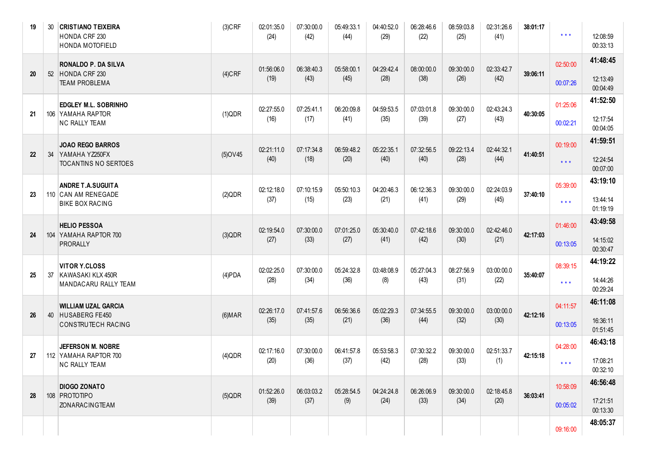| 19 | 30 | <b>CRISTIANO TEIXEIRA</b><br>HONDA CRF 230<br>HONDA MOTOFIELD | $(3)$ CRF      | 02:01:35.0<br>(24) | 07:30:00.0<br>(42) | 05:49:33.1<br>(44) | 04:40:52.0<br>(29) | 06:28:46.6<br>(22) | 08:59:03.8<br>(25) | 02:31:26.6<br>(41) | 38:01:17 | $\star$ $\star$ $\star$ | 12:08:59<br>00:33:13 |
|----|----|---------------------------------------------------------------|----------------|--------------------|--------------------|--------------------|--------------------|--------------------|--------------------|--------------------|----------|-------------------------|----------------------|
| 20 | 52 | RONALDO P. DA SILVA<br>HONDA CRF 230                          | $(4)$ CRF      | 01:56:06.0<br>(19) | 06:38:40.3<br>(43) | 05:58:00.1<br>(45) | 04:29:42.4<br>(28) | 08:00:00.0<br>(38) | 09:30:00.0<br>(26) | 02:33:42.7<br>(42) | 39:06:11 | 02:50:00                | 41:48:45<br>12:13:49 |
|    |    | <b>TEAM PROBLEMA</b>                                          |                |                    |                    |                    |                    |                    |                    |                    |          | 00:07:26                | 00:04:49             |
| 21 |    | <b>EDGLEY M.L. SOBRINHO</b><br>106 YAMAHA RAPTOR              | (1)QDR         | 02:27:55.0         | 07:25:41.1         | 06:20:09.8         | 04:59:53.5         | 07:03:01.8         | 09:30:00.0         | 02:43:24.3         | 40:30:05 | 01:25:06                | 41:52:50             |
|    |    | <b>NC RALLY TEAM</b>                                          |                | (16)               | (17)               | (41)               | (35)               | (39)               | (27)               | (43)               |          | 00:02:21                | 12:17:54<br>00:04:05 |
|    |    | <b>JOAO REGO BARROS</b>                                       |                | 02:21:11.0         | 07:17:34.8         | 06:59:48.2         | 05:22:35.1         | 07:32:56.5         | 09:22:13.4         | 02:44:32.1         |          | 00:19:00                | 41:59:51             |
| 22 | 34 | YAMAHA YZ250FX<br>TOCANTINS NO SERTOES                        | $(5)$ OV45     | (40)               | (18)               | (20)               | (40)               | (40)               | (28)               | (44)               | 41:40:51 | $***$                   | 12:24:54<br>00:07:00 |
|    |    | <b>ANDRE T.A.SUGUITA</b>                                      |                | 02:12:18.0         | 07:10:15.9         | 05:50:10.3         | 04:20:46.3         | 06:12:36.3         | 09:30:00.0         | 02:24:03.9         |          | 05:39:00                | 43:19:10             |
| 23 |    | 110 CAN AM RENEGADE<br><b>BIKE BOX RACING</b>                 | (2)QDR         | (37)               | (15)               | (23)               | (21)               | (41)               | (29)               | (45)               | 37:40:10 | $***$                   | 13:44:14<br>01:19:19 |
|    |    | <b>HELIO PESSOA</b>                                           |                | 02:19:54.0         | 07:30:00.0         | 07:01:25.0         | 05:30:40.0         | 07:42:18.6         | 09:30:00.0         | 02:42:46.0         |          | 01:46:00                | 43:49:58             |
| 24 |    | 104 YAMAHA RAPTOR 700<br><b>PRORALLY</b>                      | (3)QDR         | (27)               | (33)               | (27)               | (41)               | (42)               | (30)               | (21)               | 42:17:03 | 00:13:05                | 14:15:02<br>00:30:47 |
|    |    | VITOR Y.CLOSS                                                 |                | 02:02:25.0         | 07:30:00.0         | 05:24:32.8         | 03:48:08.9         | 05:27:04.3         | 08:27:56.9         | 03:00:00.0         |          | 08:39:15                | 44:19:22             |
| 25 | 37 | KAWASAKI KLX 450R<br>MANDACARU RALLY TEAM                     | $(4)$ PDA      | (28)               | (34)               | (36)               | (8)                | (43)               | (31)               | (22)               | 35:40:07 | $\star$ $\star$ $\star$ | 14:44:26<br>00:29:24 |
|    |    | <b>WILLIAM UZAL GARCIA</b>                                    |                | 02:26:17.0         | 07:41:57.6         | 06:56:36.6         | 05:02:29.3         | 07:34:55.5         | 09:30:00.0         | 03:00:00.0         |          | 04:11:57                | 46:11:08             |
| 26 |    | 40 HUSABERG FE450<br>CONSTRUTECH RACING                       | (6) <b>MAR</b> | (35)               | (35)               | (21)               | (36)               | (44)               | (32)               | (30)               | 42:12:16 | 00:13:05                | 16:36:11<br>01:51:45 |
|    |    | JEFERSON M. NOBRE                                             |                | 02:17:16.0         | 07:30:00.0         | 06:41:57.8         | 05:53:58.3         | 07:30:32.2         |                    | 02:51:33.7         |          | 04:28:00                | 46:43:18             |
| 27 |    | 112 YAMAHA RAPTOR 700<br>NC RALLY TEAM                        | $(4)$ QDR      | (20)               | (36)               | (37)               | (42)               | (28)               | 09:30:00.0<br>(33) | (1)                | 42:15:18 | $* * *$                 | 17:08:21<br>00:32:10 |
|    |    | <b>DIOGO ZONATO</b>                                           |                | 01:52:26.0         | 06:03:03.2         | 05:28:54.5         | 04:24:24.8         | 06:26:06.9         | 09:30:00.0         | 02:18:45.8         |          | 10:58:09                | 46:56:48             |
| 28 |    | 108 PROTOTIPO<br>ZONARACINGTEAM                               | $(5)$ QDR      | (39)               | (37)               | (9)                | (24)               | (33)               | (34)               | (20)               | 36:03:41 | 00:05:02                | 17:21:51<br>00:13:30 |
|    |    |                                                               |                |                    |                    |                    |                    |                    |                    |                    |          | 09:16:00                | 48:05:37             |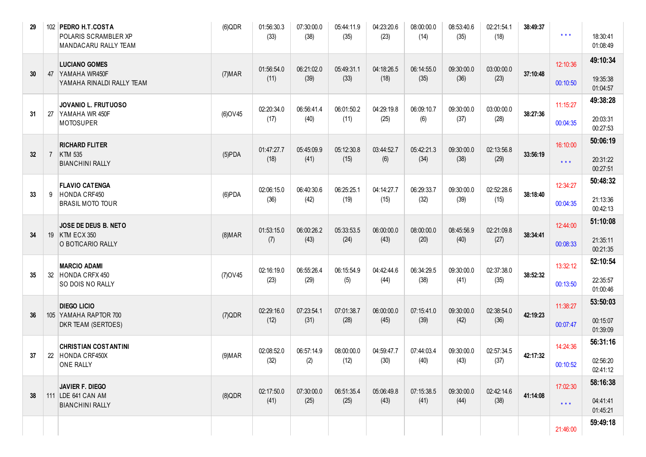| 29 | 102 | PEDRO H.T.COSTA<br>POLARIS SCRAMBLER XP<br>MANDACARU RALLY TEAM | (6)QDR         | 01:56:30.3<br>(33) | 07:30:00.0<br>(38) | 05:44:11.9<br>(35) | 04:23:20.6<br>(23) | 08:00:00.0<br>(14) | 08:53:40.6<br>(35) | 02:21:54.1<br>(18) | 38:49:37 | $***$    | 18:30:41<br>01:08:49 |
|----|-----|-----------------------------------------------------------------|----------------|--------------------|--------------------|--------------------|--------------------|--------------------|--------------------|--------------------|----------|----------|----------------------|
| 30 | 47  | <b>LUCIANO GOMES</b><br>YAMAHA WR450F                           | (7) <b>MAR</b> | 01:56:54.0         | 06:21:02.0         | 05:49:31.1         | 04:18:26.5         | 06:14:55.0         | 09:30:00.0         | 03:00:00.0         | 37:10:48 | 12:10:36 | 49:10:34             |
|    |     | YAMAHA RINALDI RALLY TEAM                                       |                | (11)               | (39)               | (33)               | (18)               | (35)               | (36)               | (23)               |          | 00:10:50 | 19:35:38<br>01:04:57 |
| 31 | 27  | JOVANIO L. FRUTUOSO<br>YAMAHA WR 450F                           | $(6)$ OV45     | 02:20:34.0         | 06:56:41.4         | 06:01:50.2         | 04:29:19.8         | 06:09:10.7         | 09:30:00.0         | 03:00:00.0         | 38:27:36 | 11:15:27 | 49:38:28             |
|    |     | <b>MOTOSUPER</b>                                                |                | (17)               | (40)               | (11)               | (25)               | (6)                | (37)               | (28)               |          | 00:04:35 | 20:03:31<br>00:27:53 |
|    |     | <b>RICHARD FLITER</b>                                           |                | 01:47:27.7         | 05:45:09.9         | 05:12:30.8         | 03:44:52.7         | 05:42:21.3         | 09:30:00.0         | 02:13:56.8         |          | 16:10:00 | 50:06:19             |
| 32 | 7   | KTM 535<br><b>BIANCHINI RALLY</b>                               | $(5)$ PDA      | (18)               | (41)               | (15)               | (6)                | (34)               | (38)               | (29)               | 33:56:19 | $***$    | 20:31:22<br>00:27:51 |
|    |     | <b>FLAVIO CATENGA</b>                                           |                | 02:06:15.0         | 06:40:30.6         | 06:25:25.1         | 04:14:27.7         | 06:29:33.7         | 09:30:00.0         | 02:52:28.6         | 38:18:40 | 12:34:27 | 50:48:32             |
| 33 | 9   | HONDA CRF450<br><b>BRASIL MOTO TOUR</b>                         | $(6)$ PDA      | (36)               | (42)               | (19)               | (15)               | (32)               | (39)               | (15)               |          | 00:04:35 | 21:13:36<br>00:42:13 |
|    |     | JOSE DE DEUS B. NETO                                            |                | 01:53:15.0         | 06:00:26.2         | 05:33:53.5         | 06:00:00.0         | 08:00:00.0         | 08:45:56.9         | 02:21:09.8         |          | 12:44:00 | 51:10:08             |
| 34 | 19  | KTM ECX 350<br>O BOTICARIO RALLY                                | (8) <b>MAR</b> | (7)                | (43)               | (24)               | (43)               | (20)               | (40)               | (27)               | 38:34:41 | 00:08:33 | 21:35:11<br>00:21:35 |
|    |     | <b>MARCIO ADAMI</b>                                             |                | 02:16:19.0         | 06:55:26.4         | 06:15:54.9         | 04:42:44.6         | 06:34:29.5         | 09:30:00.0         | 02:37:38.0         |          | 13:32:12 | 52:10:54             |
| 35 | 32  | HONDA CRFX 450<br>SO DOIS NO RALLY                              | $(7)$ OV45     | (23)               | (29)               | (5)                | (44)               | (38)               | (41)               | (35)               | 38:52:32 | 00:13:50 | 22:35:57<br>01:00:46 |
|    |     | <b>DIEGO LICIO</b>                                              |                | 02:29:16.0         | 07:23:54.1         | 07:01:38.7         | 06:00:00.0         | 07:15:41.0         | 09:30:00.0         | 02:38:54.0         |          | 11:38:27 | 53:50:03             |
| 36 |     | 105 YAMAHA RAPTOR 700<br>DKR TEAM (SERTOES)                     | (7)QDR         | (12)               | (31)               | (28)               | (45)               | (39)               | (42)               | (36)               | 42:19:23 | 00:07:47 | 00:15:07<br>01:39:09 |
|    |     | <b>CHRISTIAN COSTANTINI</b>                                     |                | 02:08:52.0         | 06:57:14.9         | 08:00:00.0         | 04:59:47.7         | 07:44:03.4         | 09:30:00.0         | 02:57:34.5         |          | 14:24:36 | 56:31:16             |
| 37 | 22  | HONDA CRF450X<br>ONE RALLY                                      | (9) <b>MAR</b> | (32)               | (2)                | (12)               | (30)               | (40)               | (43)               | (37)               | 42:17:32 | 00:10:52 | 02:56:20<br>02:41:12 |
|    |     | <b>JAVIER F. DIEGO</b>                                          |                | 02:17:50.0         | 07:30:00.0         | 06:51:35.4         | 05:06:49.8         | 07:15:38.5         | 09:30:00.0         | 02:42:14.6         |          | 17:02:30 | 58:16:38             |
| 38 | 111 | LDE 641 CAN AM<br><b>BIANCHINI RALLY</b>                        | $(8)$ QDR      | (41)               | (25)               | (25)               | (43)               | (41)               | (44)               | (38)               | 41:14:08 | $***$    | 04:41:41<br>01:45:21 |
|    |     |                                                                 |                |                    |                    |                    |                    |                    |                    |                    |          | 21:46:00 | 59:49:18             |